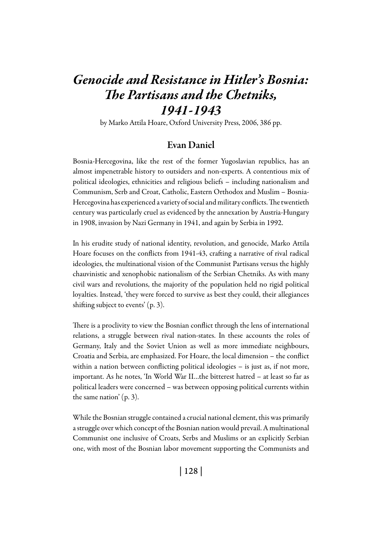# *Genocide and Resistance in Hitler's Bosnia: The Partisans and the Chetniks, 1941-1943*

by Marko Attila Hoare, Oxford University Press, 2006, 386 pp.

## Evan Daniel

Bosnia-Hercegovina, like the rest of the former Yugoslavian republics, has an almost impenetrable history to outsiders and non-experts. A contentious mix of political ideologies, ethnicities and religious beliefs – including nationalism and Communism, Serb and Croat, Catholic, Eastern Orthodox and Muslim – Bosnia-Hercegovina has experienced a variety of social and military conflicts. The twentieth century was particularly cruel as evidenced by the annexation by Austria-Hungary in 1908, invasion by Nazi Germany in 1941, and again by Serbia in 1992.

In his erudite study of national identity, revolution, and genocide, Marko Attila Hoare focuses on the conflicts from 1941-43, crafting a narrative of rival radical ideologies, the multinational vision of the Communist Partisans versus the highly chauvinistic and xenophobic nationalism of the Serbian Chetniks. As with many civil wars and revolutions, the majority of the population held no rigid political loyalties. Instead, 'they were forced to survive as best they could, their allegiances shifting subject to events' (p. 3).

There is a proclivity to view the Bosnian conflict through the lens of international relations, a struggle between rival nation-states. In these accounts the roles of Germany, Italy and the Soviet Union as well as more immediate neighbours, Croatia and Serbia, are emphasized. For Hoare, the local dimension – the conflict within a nation between conflicting political ideologies – is just as, if not more, important. As he notes, 'In World War II…the bitterest hatred – at least so far as political leaders were concerned – was between opposing political currents within the same nation' (p. 3).

While the Bosnian struggle contained a crucial national element, this was primarily a struggle over which concept of the Bosnian nation would prevail. A multinational Communist one inclusive of Croats, Serbs and Muslims or an explicitly Serbian one, with most of the Bosnian labor movement supporting the Communists and

| 128 |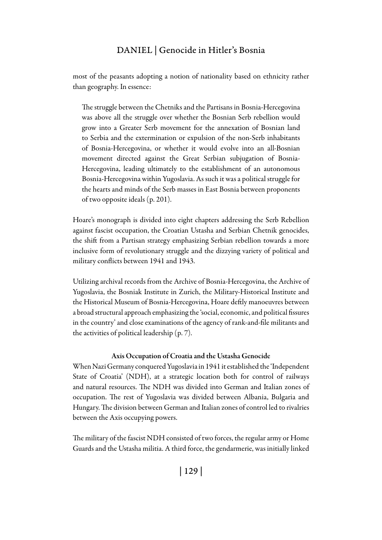most of the peasants adopting a notion of nationality based on ethnicity rather than geography. In essence:

The struggle between the Chetniks and the Partisans in Bosnia-Hercegovina was above all the struggle over whether the Bosnian Serb rebellion would grow into a Greater Serb movement for the annexation of Bosnian land to Serbia and the extermination or expulsion of the non-Serb inhabitants of Bosnia-Hercegovina, or whether it would evolve into an all-Bosnian movement directed against the Great Serbian subjugation of Bosnia-Hercegovina, leading ultimately to the establishment of an autonomous Bosnia-Hercegovina within Yugoslavia. As such it was a political struggle for the hearts and minds of the Serb masses in East Bosnia between proponents of two opposite ideals (p. 201).

Hoare's monograph is divided into eight chapters addressing the Serb Rebellion against fascist occupation, the Croatian Ustasha and Serbian Chetnik genocides, the shift from a Partisan strategy emphasizing Serbian rebellion towards a more inclusive form of revolutionary struggle and the dizzying variety of political and military conflicts between 1941 and 1943.

Utilizing archival records from the Archive of Bosnia-Hercegovina, the Archive of Yugoslavia, the Bosniak Institute in Zurich, the Military-Historical Institute and the Historical Museum of Bosnia-Hercegovina, Hoare deftly manoeuvres between a broad structural approach emphasizing the 'social, economic, and political fissures in the country' and close examinations of the agency of rank-and-file militants and the activities of political leadership (p. 7).

#### Axis Occupation of Croatia and the Ustasha Genocide

When Nazi Germany conquered Yugoslavia in 1941 it established the 'Independent State of Croatia' (NDH), at a strategic location both for control of railways and natural resources. The NDH was divided into German and Italian zones of occupation. The rest of Yugoslavia was divided between Albania, Bulgaria and Hungary. The division between German and Italian zones of control led to rivalries between the Axis occupying powers.

The military of the fascist NDH consisted of two forces, the regular army or Home Guards and the Ustasha militia. A third force, the gendarmerie, was initially linked

| 129 |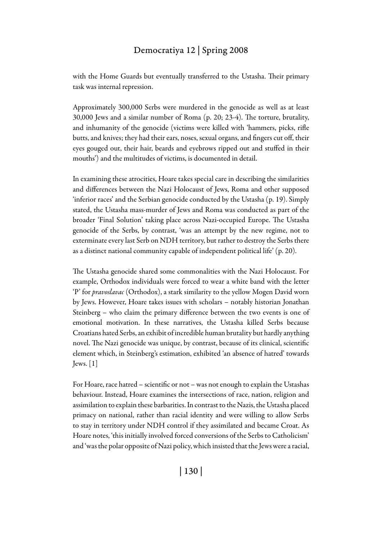with the Home Guards but eventually transferred to the Ustasha. Their primary task was internal repression.

Approximately 300,000 Serbs were murdered in the genocide as well as at least 30,000 Jews and a similar number of Roma (p. 20; 23-4). The torture, brutality, and inhumanity of the genocide (victims were killed with 'hammers, picks, rifle butts, and knives; they had their ears, noses, sexual organs, and fingers cut off, their eyes gouged out, their hair, beards and eyebrows ripped out and stuffed in their mouths') and the multitudes of victims, is documented in detail.

In examining these atrocities, Hoare takes special care in describing the similarities and differences between the Nazi Holocaust of Jews, Roma and other supposed 'inferior races' and the Serbian genocide conducted by the Ustasha (p. 19). Simply stated, the Ustasha mass-murder of Jews and Roma was conducted as part of the broader 'Final Solution' taking place across Nazi-occupied Europe. The Ustasha genocide of the Serbs, by contrast, 'was an attempt by the new regime, not to exterminate every last Serb on NDH territory, but rather to destroy the Serbs there as a distinct national community capable of independent political life' (p. 20).

The Ustasha genocide shared some commonalities with the Nazi Holocaust. For example, Orthodox individuals were forced to wear a white band with the letter 'P' for *pravoslavac* (Orthodox), a stark similarity to the yellow Mogen David worn by Jews. However, Hoare takes issues with scholars – notably historian Jonathan Steinberg – who claim the primary difference between the two events is one of emotional motivation. In these narratives, the Ustasha killed Serbs because Croatians hated Serbs, an exhibit of incredible human brutality but hardly anything novel. The Nazi genocide was unique, by contrast, because of its clinical, scientific element which, in Steinberg's estimation, exhibited 'an absence of hatred' towards  $Jews. [1]$ 

For Hoare, race hatred – scientific or not – was not enough to explain the Ustashas behaviour. Instead, Hoare examines the intersections of race, nation, religion and assimilation to explain these barbarities. In contrast to the Nazis, the Ustasha placed primacy on national, rather than racial identity and were willing to allow Serbs to stay in territory under NDH control if they assimilated and became Croat. As Hoare notes, 'this initially involved forced conversions of the Serbs to Catholicism' and 'was the polar opposite of Nazi policy, which insisted that the Jews were a racial,

| 130 |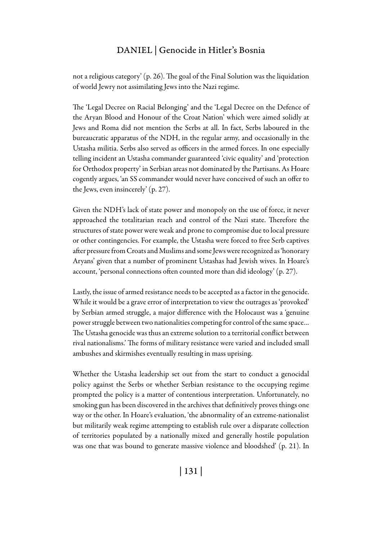not a religious category' (p. 26). The goal of the Final Solution was the liquidation of world Jewry not assimilating Jews into the Nazi regime.

The 'Legal Decree on Racial Belonging' and the 'Legal Decree on the Defence of the Aryan Blood and Honour of the Croat Nation' which were aimed solidly at Jews and Roma did not mention the Serbs at all. In fact, Serbs laboured in the bureaucratic apparatus of the NDH, in the regular army, and occasionally in the Ustasha militia. Serbs also served as officers in the armed forces. In one especially telling incident an Ustasha commander guaranteed 'civic equality' and 'protection for Orthodox property' in Serbian areas not dominated by the Partisans. As Hoare cogently argues, 'an SS commander would never have conceived of such an offer to the Jews, even insincerely' (p. 27).

Given the NDH's lack of state power and monopoly on the use of force, it never approached the totalitarian reach and control of the Nazi state. Therefore the structures of state power were weak and prone to compromise due to local pressure or other contingencies. For example, the Ustasha were forced to free Serb captives after pressure from Croats and Muslims and some Jews were recognized as 'honorary Aryans' given that a number of prominent Ustashas had Jewish wives. In Hoare's account, 'personal connections often counted more than did ideology' (p. 27).

Lastly, the issue of armed resistance needs to be accepted as a factor in the genocide. While it would be a grave error of interpretation to view the outrages as 'provoked' by Serbian armed struggle, a major difference with the Holocaust was a 'genuine power struggle between two nationalities competing for control of the same space… The Ustasha genocide was thus an extreme solution to a territorial conflict between rival nationalisms.' The forms of military resistance were varied and included small ambushes and skirmishes eventually resulting in mass uprising.

Whether the Ustasha leadership set out from the start to conduct a genocidal policy against the Serbs or whether Serbian resistance to the occupying regime prompted the policy is a matter of contentious interpretation. Unfortunately, no smoking gun has been discovered in the archives that definitively proves things one way or the other. In Hoare's evaluation, 'the abnormality of an extreme-nationalist but militarily weak regime attempting to establish rule over a disparate collection of territories populated by a nationally mixed and generally hostile population was one that was bound to generate massive violence and bloodshed' (p. 21). In

| 131 |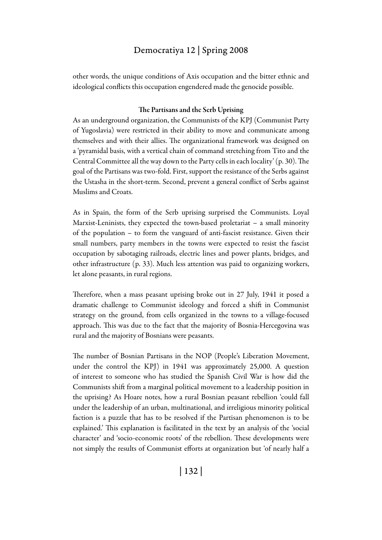other words, the unique conditions of Axis occupation and the bitter ethnic and ideological conflicts this occupation engendered made the genocide possible.

#### The Partisans and the Serb Uprising

As an underground organization, the Communists of the KPJ (Communist Party of Yugoslavia) were restricted in their ability to move and communicate among themselves and with their allies. The organizational framework was designed on a 'pyramidal basis, with a vertical chain of command stretching from Tito and the Central Committee all the way down to the Party cells in each locality' (p. 30). The goal of the Partisans was two-fold. First, support the resistance of the Serbs against the Ustasha in the short-term. Second, prevent a general conflict of Serbs against Muslims and Croats.

As in Spain, the form of the Serb uprising surprised the Communists. Loyal Marxist-Leninists, they expected the town-based proletariat – a small minority of the population – to form the vanguard of anti-fascist resistance. Given their small numbers, party members in the towns were expected to resist the fascist occupation by sabotaging railroads, electric lines and power plants, bridges, and other infrastructure (p. 33). Much less attention was paid to organizing workers, let alone peasants, in rural regions.

Therefore, when a mass peasant uprising broke out in 27 July, 1941 it posed a dramatic challenge to Communist ideology and forced a shift in Communist strategy on the ground, from cells organized in the towns to a village-focused approach. This was due to the fact that the majority of Bosnia-Hercegovina was rural and the majority of Bosnians were peasants.

The number of Bosnian Partisans in the NOP (People's Liberation Movement, under the control the KPJ) in 1941 was approximately 25,000. A question of interest to someone who has studied the Spanish Civil War is how did the Communists shift from a marginal political movement to a leadership position in the uprising? As Hoare notes, how a rural Bosnian peasant rebellion 'could fall under the leadership of an urban, multinational, and irreligious minority political faction is a puzzle that has to be resolved if the Partisan phenomenon is to be explained.' This explanation is facilitated in the text by an analysis of the 'social character' and 'socio-economic roots' of the rebellion. These developments were not simply the results of Communist efforts at organization but 'of nearly half a

| 132 |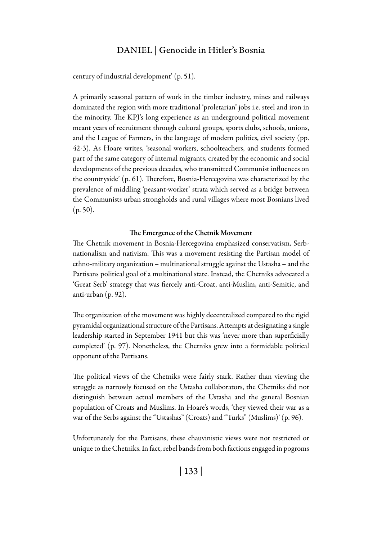century of industrial development' (p. 51).

A primarily seasonal pattern of work in the timber industry, mines and railways dominated the region with more traditional 'proletarian' jobs i.e. steel and iron in the minority. The KPJ's long experience as an underground political movement meant years of recruitment through cultural groups, sports clubs, schools, unions, and the League of Farmers, in the language of modern politics, civil society (pp. 42-3). As Hoare writes, 'seasonal workers, schoolteachers, and students formed part of the same category of internal migrants, created by the economic and social developments of the previous decades, who transmitted Communist influences on the countryside' (p. 61). Therefore, Bosnia-Hercegovina was characterized by the prevalence of middling 'peasant-worker' strata which served as a bridge between the Communists urban strongholds and rural villages where most Bosnians lived  $(p. 50)$ .

#### The Emergence of the Chetnik Movement

The Chetnik movement in Bosnia-Hercegovina emphasized conservatism, Serbnationalism and nativism. This was a movement resisting the Partisan model of ethno-military organization – multinational struggle against the Ustasha – and the Partisans political goal of a multinational state. Instead, the Chetniks advocated a 'Great Serb' strategy that was fiercely anti-Croat, anti-Muslim, anti-Semitic, and anti-urban (p. 92).

The organization of the movement was highly decentralized compared to the rigid pyramidal organizational structure of the Partisans. Attempts at designating a single leadership started in September 1941 but this was 'never more than superficially completed' (p. 97). Nonetheless, the Chetniks grew into a formidable political opponent of the Partisans.

The political views of the Chetniks were fairly stark. Rather than viewing the struggle as narrowly focused on the Ustasha collaborators, the Chetniks did not distinguish between actual members of the Ustasha and the general Bosnian population of Croats and Muslims. In Hoare's words, 'they viewed their war as a war of the Serbs against the "Ustashas" (Croats) and "Turks" (Muslims)' (p. 96).

Unfortunately for the Partisans, these chauvinistic views were not restricted or unique to the Chetniks. In fact, rebel bands from both factions engaged in pogroms

| 133 |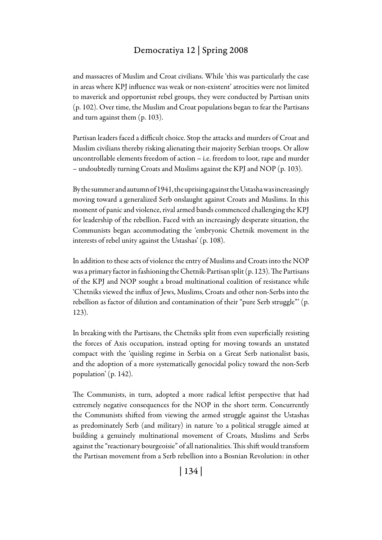and massacres of Muslim and Croat civilians. While 'this was particularly the case in areas where KPJ influence was weak or non-existent' atrocities were not limited to maverick and opportunist rebel groups, they were conducted by Partisan units (p. 102). Over time, the Muslim and Croat populations began to fear the Partisans and turn against them (p. 103).

Partisan leaders faced a difficult choice. Stop the attacks and murders of Croat and Muslim civilians thereby risking alienating their majority Serbian troops. Or allow uncontrollable elements freedom of action – i.e. freedom to loot, rape and murder – undoubtedly turning Croats and Muslims against the KPJ and NOP (p. 103).

By the summer and autumn of 1941, the uprising against the Ustasha was increasingly moving toward a generalized Serb onslaught against Croats and Muslims. In this moment of panic and violence, rival armed bands commenced challenging the KPJ for leadership of the rebellion. Faced with an increasingly desperate situation, the Communists began accommodating the 'embryonic Chetnik movement in the interests of rebel unity against the Ustashas' (p. 108).

In addition to these acts of violence the entry of Muslims and Croats into the NOP was a primary factor in fashioning the Chetnik-Partisan split (p. 123). The Partisans of the KPJ and NOP sought a broad multinational coalition of resistance while 'Chetniks viewed the influx of Jews, Muslims, Croats and other non-Serbs into the rebellion as factor of dilution and contamination of their "pure Serb struggle"' (p. 123).

In breaking with the Partisans, the Chetniks split from even superficially resisting the forces of Axis occupation, instead opting for moving towards an unstated compact with the 'quisling regime in Serbia on a Great Serb nationalist basis, and the adoption of a more systematically genocidal policy toward the non-Serb population' (p. 142).

The Communists, in turn, adopted a more radical leftist perspective that had extremely negative consequences for the NOP in the short term. Concurrently the Communists shifted from viewing the armed struggle against the Ustashas as predominately Serb (and military) in nature 'to a political struggle aimed at building a genuinely multinational movement of Croats, Muslims and Serbs against the "reactionary bourgeoisie" of all nationalities. This shift would transform the Partisan movement from a Serb rebellion into a Bosnian Revolution: in other

| 134 |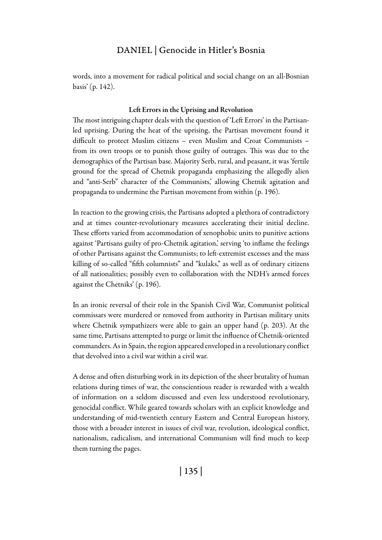words, into a movement for radical political and social change on an all-Bosnian basis' (p. 142).

#### Left Errors in the Uprising and Revolution

The most intriguing chapter deals with the question of 'Left Errors' in the Partisanled uprising. During the heat of the uprising, the Partisan movement found it difficult to protect Muslim citizens – even Muslim and Croat Communists – from its own troops or to punish those guilty of outrages. This was due to the demographics of the Partisan base. Majority Serb, rural, and peasant, it was 'fertile ground for the spread of Chetnik propaganda emphasizing the allegedly alien and "anti-Serb" character of the Communists,' allowing Chetnik agitation and propaganda to undermine the Partisan movement from within (p. 196).

In reaction to the growing crisis, the Partisans adopted a plethora of contradictory and at times counter-revolutionary measures accelerating their initial decline. These efforts varied from accommodation of xenophobic units to punitive actions against 'Partisans guilty of pro-Chetnik agitation,' serving 'to inflame the feelings of other Partisans against the Communists; to left-extremist excesses and the mass killing of so-called "fifth columnists" and "kulaks," as well as of ordinary citizens of all nationalities; possibly even to collaboration with the NDH's armed forces against the Chetniks' (p. 196).

In an ironic reversal of their role in the Spanish Civil War, Communist political commissars were murdered or removed from authority in Partisan military units where Chetnik sympathizers were able to gain an upper hand (p. 203). At the same time, Partisans attempted to purge or limit the influence of Chetnik-oriented commanders. As in Spain, the region appeared enveloped in a revolutionary conflict that devolved into a civil war within a civil war.

A dense and often disturbing work in its depiction of the sheer brutality of human relations during times of war, the conscientious reader is rewarded with a wealth of information on a seldom discussed and even less understood revolutionary, genocidal conflict. While geared towards scholars with an explicit knowledge and understanding of mid-twentieth century Eastern and Central European history, those with a broader interest in issues of civil war, revolution, ideological conflict, nationalism, radicalism, and international Communism will find much to keep them turning the pages.

| 135 |